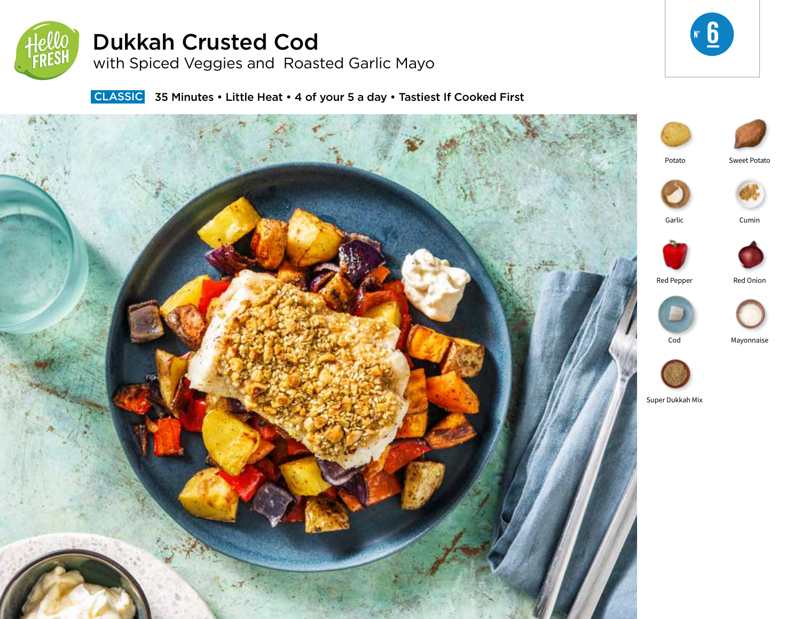

# Dukkah Crusted Cod

with Spiced Veggies and Roasted Garlic Mayo



**CLASSIC** 35 Minutes • Little Heat • 4 of your 5 a day • Tastiest If Cooked First